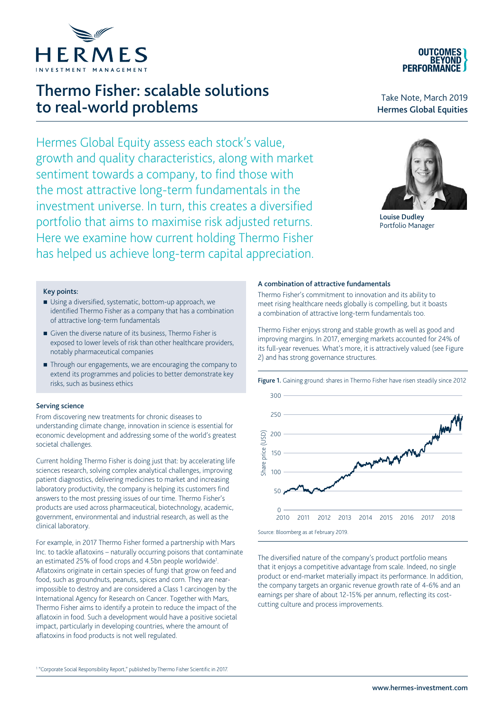

# Thermo Fisher: scalable solutions to real-world problems

**OUTCOMES** 

Take Note, March 2019 Hermes Global Equities

Hermes Global Equity assess each stock's value, growth and quality characteristics, along with market sentiment towards a company, to find those with the most attractive long-term fundamentals in the investment universe. In turn, this creates a diversified portfolio that aims to maximise risk adjusted returns. Here we examine how current holding Thermo Fisher has helped us achieve long-term capital appreciation.



Louise Dudley Portfolio Manager

#### Key points:

- Using a diversified, systematic, bottom-up approach, we identified Thermo Fisher as a company that has a combination of attractive long-term fundamentals
- Given the diverse nature of its business, Thermo Fisher is exposed to lower levels of risk than other healthcare providers, notably pharmaceutical companies
- Through our engagements, we are encouraging the company to extend its programmes and policies to better demonstrate key risks, such as business ethics

#### Serving science

From discovering new treatments for chronic diseases to understanding climate change, innovation in science is essential for economic development and addressing some of the world's greatest societal challenges.

Current holding Thermo Fisher is doing just that: by accelerating life sciences research, solving complex analytical challenges, improving patient diagnostics, delivering medicines to market and increasing laboratory productivity, the company is helping its customers find answers to the most pressing issues of our time. Thermo Fisher's products are used across pharmaceutical, biotechnology, academic, government, environmental and industrial research, as well as the clinical laboratory.

For example, in 2017 Thermo Fisher formed a partnership with Mars Inc. to tackle aflatoxins – naturally occurring poisons that contaminate an estimated 25% of food crops and 4.5bn people worldwide<sup>1</sup>. Aflatoxins originate in certain species of fungi that grow on feed and food, such as groundnuts, peanuts, spices and corn. They are nearimpossible to destroy and are considered a Class 1 carcinogen by the International Agency for Research on Cancer. Together with Mars, Thermo Fisher aims to identify a protein to reduce the impact of the aflatoxin in food. Such a development would have a positive societal impact, particularly in developing countries, where the amount of aflatoxins in food products is not well regulated.

#### A combination of attractive fundamentals

Thermo Fisher's commitment to innovation and its ability to meet rising healthcare needs globally is compelling, but it boasts a combination of attractive long-term fundamentals too.

Thermo Fisher enjoys strong and stable growth as well as good and improving margins. In 2017, emerging markets accounted for 24% of its full-year revenues. What's more, it is attractively valued (see Figure 2) and has strong governance structures.



The diversified nature of the company's product portfolio means that it enjoys a competitive advantage from scale. Indeed, no single product or end-market materially impact its performance. In addition, the company targets an organic revenue growth rate of 4-6% and an earnings per share of about 12-15% per annum, reflecting its costcutting culture and process improvements.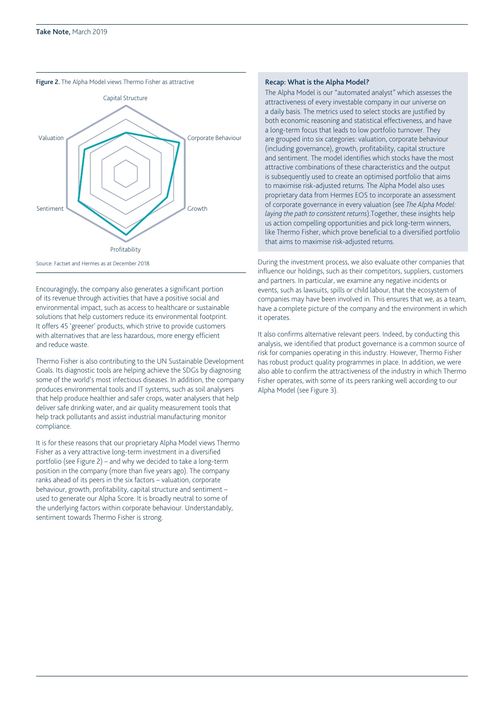

Encouragingly, the company also generates a significant portion of its revenue through activities that have a positive social and environmental impact, such as access to healthcare or sustainable solutions that help customers reduce its environmental footprint. It offers 45 'greener' products, which strive to provide customers with alternatives that are less hazardous, more energy efficient and reduce waste.

Thermo Fisher is also contributing to the UN Sustainable Development Goals. Its diagnostic tools are helping achieve the SDGs by diagnosing some of the world's most infectious diseases. In addition, the company produces environmental tools and IT systems, such as soil analysers that help produce healthier and safer crops, water analysers that help deliver safe drinking water, and air quality measurement tools that help track pollutants and assist industrial manufacturing monitor compliance.

It is for these reasons that our proprietary Alpha Model views Thermo Fisher as a very attractive long-term investment in a diversified portfolio (see Figure 2) – and why we decided to take a long-term position in the company (more than five years ago). The company ranks ahead of its peers in the six factors – valuation, corporate behaviour, growth, profitability, capital structure and sentiment – used to generate our Alpha Score. It is broadly neutral to some of the underlying factors within corporate behaviour. Understandably, sentiment towards Thermo Fisher is strong.

#### Recap: What is the Alpha Model?

The Alpha Model is our "automated analyst" which assesses the attractiveness of every investable company in our universe on a daily basis. The metrics used to select stocks are justified by both economic reasoning and statistical effectiveness, and have a long-term focus that leads to low portfolio turnover. They are grouped into six categories: valuation, corporate behaviour (including governance), growth, profitability, capital structure and sentiment. The model identifies which stocks have the most attractive combinations of these characteristics and the output is subsequently used to create an optimised portfolio that aims to maximise risk-adjusted returns. The Alpha Model also uses proprietary data from Hermes EOS to incorporate an assessment of corporate governance in every valuation (see *The Alpha Model: laying the path to consistent returns*).Together, these insights help us action compelling opportunities and pick long-term winners, like Thermo Fisher, which prove beneficial to a diversified portfolio that aims to maximise risk-adjusted returns.

During the investment process, we also evaluate other companies that influence our holdings, such as their competitors, suppliers, customers and partners. In particular, we examine any negative incidents or events, such as lawsuits, spills or child labour, that the ecosystem of companies may have been involved in. This ensures that we, as a team, have a complete picture of the company and the environment in which it operates.

It also confirms alternative relevant peers. Indeed, by conducting this analysis, we identified that product governance is a common source of risk for companies operating in this industry. However, Thermo Fisher has robust product quality programmes in place. In addition, we were also able to confirm the attractiveness of the industry in which Thermo Fisher operates, with some of its peers ranking well according to our Alpha Model (see Figure 3).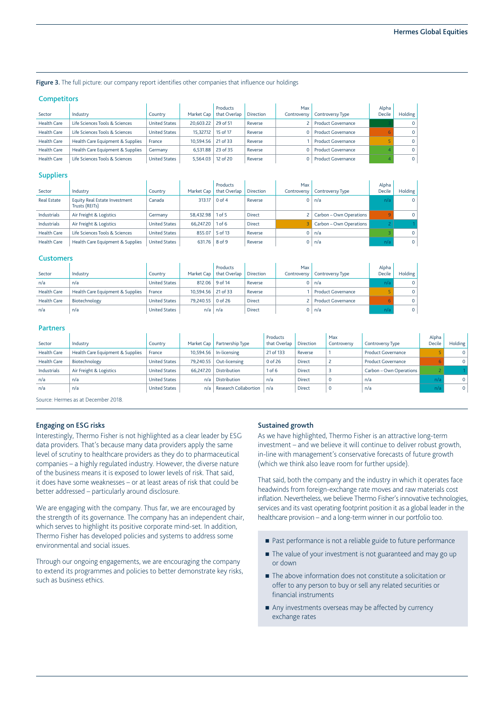Figure 3. The full picture: our company report identifies other companies that influence our holdings

#### **Competitors**

| Sector             | Industry                         | Countrv              |                      | Products<br>Market Cap   that Overlap | <b>Direction</b> | Max<br>Controversy | <b>Controversy Type</b>   | Alpha<br>Decile | Holding  |
|--------------------|----------------------------------|----------------------|----------------------|---------------------------------------|------------------|--------------------|---------------------------|-----------------|----------|
| <b>Health Care</b> | Life Sciences Tools & Sciences   | <b>United States</b> | 20.603.22 29 of 51   |                                       | Reverse          |                    | Product Governance        |                 | $\Omega$ |
| <b>Health Care</b> | Life Sciences Tools & Sciences   | <b>United States</b> | 15.327.12   15 of 17 |                                       | Reverse          |                    | <b>Product Governance</b> |                 | $\Omega$ |
| <b>Health Care</b> | Health Care Equipment & Supplies | France               | 10.594.56 21 of 33   |                                       | Reverse          |                    | <b>Product Governance</b> |                 | $\Omega$ |
| <b>Health Care</b> | Health Care Equipment & Supplies | Germany              | $6.531.88$ 23 of 35  |                                       | Reverse          |                    | Product Governance        |                 | $\Omega$ |
| <b>Health Care</b> | Life Sciences Tools & Sciences   | <b>United States</b> | 5.564.03   12 of 20  |                                       | Reverse          |                    | <b>Product Governance</b> |                 | $\Omega$ |

#### **Suppliers**

| Sector             | Industry                                        | Country              |                 | Products<br>Market Cap   that Overlap | <b>Direction</b> | Max<br>Controversy | <b>Controversy Type</b> | Alpha<br>Decile | Holding  |
|--------------------|-------------------------------------------------|----------------------|-----------------|---------------------------------------|------------------|--------------------|-------------------------|-----------------|----------|
| <b>Real Estate</b> | Equity Real Estate Investment<br>Trusts (REITs) | Canada               |                 | 313.17 0 of 4                         | Reverse          | 0                  | n/a                     | n/a             | $\Omega$ |
| Industrials        | Air Freight & Logistics                         | Germany              | 58.432.98       | 1 of 5                                | <b>Direct</b>    |                    | Carbon - Own Operations | 9               | $\Omega$ |
| Industrials        | Air Freight & Logistics                         | <b>United States</b> | 66.247.20       | $1$ of 6                              | <b>Direct</b>    |                    | Carbon - Own Operations |                 |          |
| <b>Health Care</b> | Life Sciences Tools & Sciences                  | <b>United States</b> |                 | 855.07 5 of 13                        | Reverse          | 0                  | n/a                     |                 | $\Omega$ |
| <b>Health Care</b> | Health Care Equipment & Supplies                | <b>United States</b> | 631.76   8 of 9 |                                       | Reverse          | 0                  | n/a                     | n/a             | $\Omega$ |

#### **Customers**

| Sector             | Industry                         | Country              |                     | Products<br>Market Cap   that Overlap | <b>Direction</b> | Max<br>Controversy | <b>Controversy Type</b>   | Alpha<br>Decile | Holding  |
|--------------------|----------------------------------|----------------------|---------------------|---------------------------------------|------------------|--------------------|---------------------------|-----------------|----------|
| n/a                | n/a                              | <b>United States</b> |                     | $812.06$ 9 of 14                      | Reverse          | 0                  | n/a                       | n/a             |          |
| <b>Health Care</b> | Health Care Equipment & Supplies | France               | 10.594.56 21 of 33  |                                       | Reverse          |                    | <b>Product Governance</b> |                 | $\Omega$ |
| <b>Health Care</b> | Biotechnology                    | <b>United States</b> | 79.240.55   0 of 26 |                                       | <b>Direct</b>    |                    | Product Governance        |                 | $\Omega$ |
| n/a                | n/a                              | <b>United States</b> | n/a                 | n/a                                   | <b>Direct</b>    | 0                  | n/a                       | n/a             | $\Omega$ |

## Partners

| Sector             | Industry                         | Country              |     | Market Cap   Partnership Type | Products<br>that Overlap | Direction     | Max<br>Controversy | Controversy Type          | Alpha<br>Decile | Holding        |
|--------------------|----------------------------------|----------------------|-----|-------------------------------|--------------------------|---------------|--------------------|---------------------------|-----------------|----------------|
| <b>Health Care</b> | Health Care Equipment & Supplies | France               |     | $10.594.56$   In-licensing    | 21 of 133                | Reverse       |                    | Product Governance        |                 |                |
| <b>Health Care</b> | Biotechnology                    | <b>United States</b> |     | 79,240.55   Out-licensing     | 0 of 26                  | <b>Direct</b> |                    | <b>Product Governance</b> |                 |                |
| Industrials        | Air Freight & Logistics          | <b>United States</b> |     | $66.247.20$ Distribution      | 1 of 6                   | <b>Direct</b> |                    | Carbon - Own Operations   |                 |                |
| n/a                | n/a                              | <b>United States</b> | n/a | Distribution                  | n/a                      | <b>Direct</b> | $\Omega$           | n/a                       | n/a             | 0 <sup>1</sup> |
| n/a                | n/a                              | <b>United States</b> |     | n/a   Research Collabortion   | n/a                      | <b>Direct</b> | $\mathbf 0$        | n/a                       | n/a             | 0 <sup>1</sup> |

Source: Hermes as at December 2018.

#### Engaging on ESG risks

Interestingly, Thermo Fisher is not highlighted as a clear leader by ESG data providers. That's because many data providers apply the same level of scrutiny to healthcare providers as they do to pharmaceutical companies – a highly regulated industry. However, the diverse nature of the business means it is exposed to lower levels of risk. That said, it does have some weaknesses – or at least areas of risk that could be better addressed – particularly around disclosure.

We are engaging with the company. Thus far, we are encouraged by the strength of its governance. The company has an independent chair, which serves to highlight its positive corporate mind-set. In addition, Thermo Fisher has developed policies and systems to address some environmental and social issues.

Through our ongoing engagements, we are encouraging the company to extend its programmes and policies to better demonstrate key risks, such as business ethics.

#### Sustained growth

As we have highlighted, Thermo Fisher is an attractive long-term investment – and we believe it will continue to deliver robust growth, in-line with management's conservative forecasts of future growth (which we think also leave room for further upside).

That said, both the company and the industry in which it operates face headwinds from foreign-exchange rate moves and raw materials cost inflation. Nevertheless, we believe Thermo Fisher's innovative technologies, services and its vast operating footprint position it as a global leader in the healthcare provision – and a long-term winner in our portfolio too.

- Past performance is not a reliable guide to future performance
- The value of your investment is not guaranteed and may go up or down
- The above information does not constitute a solicitation or offer to any person to buy or sell any related securities or financial instruments
- Any investments overseas may be affected by currency exchange rates